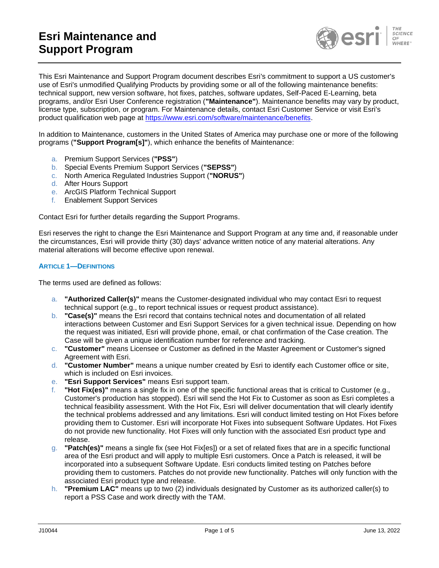

This Esri Maintenance and Support Program document describes Esri's commitment to support a US customer's use of Esri's unmodified Qualifying Products by providing some or all of the following maintenance benefits: technical support, new version software, hot fixes, patches, software updates, Self-Paced E-Learning, beta programs, and/or Esri User Conference registration (**"Maintenance"**). Maintenance benefits may vary by product, license type, subscription, or program. For Maintenance details, contact Esri Customer Service or visit Esri's product qualification web page at [https://www.esri.com/software/maintenance/benefits.](https://www.esri.com/software/maintenance/benefits)

In addition to Maintenance, customers in the United States of America may purchase one or more of the following programs (**"Support Program[s]"**), which enhance the benefits of Maintenance:

- a. Premium Support Services (**"PSS"**)
- b. Special Events Premium Support Services (**"SEPSS"**)
- c. North America Regulated Industries Support (**"NORUS"**)
- d. After Hours Support
- e. ArcGIS Platform Technical Support
- f. Enablement Support Services

Contact Esri for further details regarding the Support Programs.

Esri reserves the right to change the Esri Maintenance and Support Program at any time and, if reasonable under the circumstances, Esri will provide thirty (30) days' advance written notice of any material alterations. Any material alterations will become effective upon renewal.

## **ARTICLE 1—DEFINITIONS**

The terms used are defined as follows:

- a. **"Authorized Caller(s)"** means the Customer-designated individual who may contact Esri to request technical support (e.g., to report technical issues or request product assistance).
- b. **"Case(s)"** means the Esri record that contains technical notes and documentation of all related interactions between Customer and Esri Support Services for a given technical issue. Depending on how the request was initiated, Esri will provide phone, email, or chat confirmation of the Case creation. The Case will be given a unique identification number for reference and tracking.
- c. **"Customer"** means Licensee or Customer as defined in the Master Agreement or Customer's signed Agreement with Esri.
- d. **"Customer Number"** means a unique number created by Esri to identify each Customer office or site, which is included on Esri invoices.
- e. **"Esri Support Services"** means Esri support team.
- "Hot Fix(es)" means a single fix in one of the specific functional areas that is critical to Customer (e.g., Customer's production has stopped). Esri will send the Hot Fix to Customer as soon as Esri completes a technical feasibility assessment. With the Hot Fix, Esri will deliver documentation that will clearly identify the technical problems addressed and any limitations. Esri will conduct limited testing on Hot Fixes before providing them to Customer. Esri will incorporate Hot Fixes into subsequent Software Updates. Hot Fixes do not provide new functionality. Hot Fixes will only function with the associated Esri product type and release.
- g. **"Patch(es)"** means a single fix (see Hot Fix[es]) or a set of related fixes that are in a specific functional area of the Esri product and will apply to multiple Esri customers. Once a Patch is released, it will be incorporated into a subsequent Software Update. Esri conducts limited testing on Patches before providing them to customers. Patches do not provide new functionality. Patches will only function with the associated Esri product type and release.
- h. **"Premium LAC"** means up to two (2) individuals designated by Customer as its authorized caller(s) to report a PSS Case and work directly with the TAM.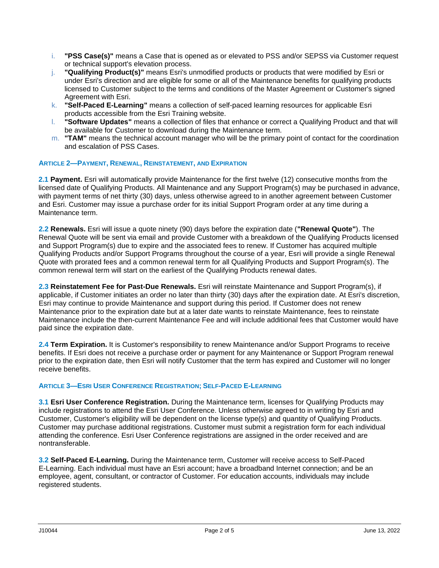- i. **"PSS Case(s)"** means a Case that is opened as or elevated to PSS and/or SEPSS via Customer request or technical support's elevation process.
- j. **"Qualifying Product(s)"** means Esri's unmodified products or products that were modified by Esri or under Esri's direction and are eligible for some or all of the Maintenance benefits for qualifying products licensed to Customer subject to the terms and conditions of the Master Agreement or Customer's signed Agreement with Esri.
- k. **"Self-Paced E-Learning"** means a collection of self-paced learning resources for applicable Esri products accessible from the Esri Training website.
- l. **"Software Updates"** means a collection of files that enhance or correct a Qualifying Product and that will be available for Customer to download during the Maintenance term.
- m. **"TAM"** means the technical account manager who will be the primary point of contact for the coordination and escalation of PSS Cases.

# **ARTICLE 2—PAYMENT, RENEWAL, REINSTATEMENT, AND EXPIRATION**

**2.1 Payment.** Esri will automatically provide Maintenance for the first twelve (12) consecutive months from the licensed date of Qualifying Products. All Maintenance and any Support Program(s) may be purchased in advance, with payment terms of net thirty (30) days, unless otherwise agreed to in another agreement between Customer and Esri. Customer may issue a purchase order for its initial Support Program order at any time during a Maintenance term.

**2.2 Renewals.** Esri will issue a quote ninety (90) days before the expiration date (**"Renewal Quote"**). The Renewal Quote will be sent via email and provide Customer with a breakdown of the Qualifying Products licensed and Support Program(s) due to expire and the associated fees to renew. If Customer has acquired multiple Qualifying Products and/or Support Programs throughout the course of a year, Esri will provide a single Renewal Quote with prorated fees and a common renewal term for all Qualifying Products and Support Program(s). The common renewal term will start on the earliest of the Qualifying Products renewal dates.

**2.3 Reinstatement Fee for Past-Due Renewals.** Esri will reinstate Maintenance and Support Program(s), if applicable, if Customer initiates an order no later than thirty (30) days after the expiration date. At Esri's discretion, Esri may continue to provide Maintenance and support during this period. If Customer does not renew Maintenance prior to the expiration date but at a later date wants to reinstate Maintenance, fees to reinstate Maintenance include the then-current Maintenance Fee and will include additional fees that Customer would have paid since the expiration date.

**2.4 Term Expiration.** It is Customer's responsibility to renew Maintenance and/or Support Programs to receive benefits. If Esri does not receive a purchase order or payment for any Maintenance or Support Program renewal prior to the expiration date, then Esri will notify Customer that the term has expired and Customer will no longer receive benefits.

# **ARTICLE 3—ESRI USER CONFERENCE REGISTRATION; SELF-PACED E-LEARNING**

**3.1 Esri User Conference Registration.** During the Maintenance term, licenses for Qualifying Products may include registrations to attend the Esri User Conference. Unless otherwise agreed to in writing by Esri and Customer, Customer's eligibility will be dependent on the license type(s) and quantity of Qualifying Products. Customer may purchase additional registrations. Customer must submit a registration form for each individual attending the conference. Esri User Conference registrations are assigned in the order received and are nontransferable.

**3.2 Self-Paced E-Learning.** During the Maintenance term, Customer will receive access to Self-Paced E-Learning. Each individual must have an Esri account; have a broadband Internet connection; and be an employee, agent, consultant, or contractor of Customer. For education accounts, individuals may include registered students.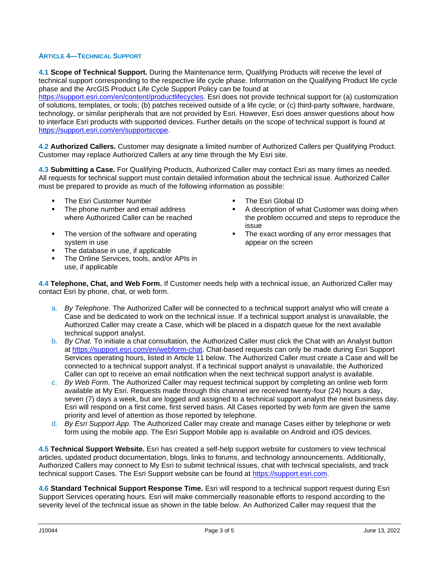# **ARTICLE 4—TECHNICAL SUPPORT**

**4.1 Scope of Technical Support.** During the Maintenance term, Qualifying Products will receive the level of technical support corresponding to the respective life cycle phase. Information on the Qualifying Product life cycle phase and the ArcGIS Product Life Cycle Support Policy can be found at

[https://support.esri.com/en/content/productlifecycles.](https://support.esri.com/en/content/productlifecycles) Esri does not provide technical support for (a) customization of solutions, templates, or tools; (b) patches received outside of a life cycle; or (c) third-party software, hardware, technology, or similar peripherals that are not provided by Esri. However, Esri does answer questions about how to interface Esri products with supported devices. Further details on the scope of technical support is found at [https://support.esri.com/en/supportscope.](https://support.esri.com/en/supportscope)

**4.2 Authorized Callers.** Customer may designate a limited number of Authorized Callers per Qualifying Product. Customer may replace Authorized Callers at any time through the My Esri site.

**4.3 Submitting a Case.** For Qualifying Products, Authorized Caller may contact Esri as many times as needed. All requests for technical support must contain detailed information about the technical issue. Authorized Caller must be prepared to provide as much of the following information as possible:

- The Esri Customer Number  **The Esri Global ID**
- The phone number and email address where Authorized Caller can be reached
- The version of the software and operating system in use
- The database in use, if applicable
- **The Online Services, tools, and/or APIs in** use, if applicable
- 
- A description of what Customer was doing when the problem occurred and steps to reproduce the issue
- **•** The exact wording of any error messages that appear on the screen

**4.4 Telephone, Chat, and Web Form.** If Customer needs help with a technical issue, an Authorized Caller may contact Esri by phone, chat, or web form.

- a. *By Telephone.* The Authorized Caller will be connected to a technical support analyst who will create a Case and be dedicated to work on the technical issue. If a technical support analyst is unavailable, the Authorized Caller may create a Case, which will be placed in a dispatch queue for the next available technical support analyst.
- b. *By Chat.* To initiate a chat consultation, the Authorized Caller must click the Chat with an Analyst button at [https://support.esri.com/en/webform-chat.](https://support.esri.com/en/webform-chat) Chat-based requests can only be made during Esri Support Services operating hours, listed in Article 11 below. The Authorized Caller must create a Case and will be connected to a technical support analyst. If a technical support analyst is unavailable, the Authorized Caller can opt to receive an email notification when the next technical support analyst is available.
- c. *By Web Form.* The Authorized Caller may request technical support by completing an online web form available at My Esri. Requests made through this channel are received twenty-four (24) hours a day, seven (7) days a week, but are logged and assigned to a technical support analyst the next business day. Esri will respond on a first come, first served basis. All Cases reported by web form are given the same priority and level of attention as those reported by telephone.
- d. *By Esri Support App.* The Authorized Caller may create and manage Cases either by telephone or web form using the mobile app. The Esri Support Mobile app is available on Android and iOS devices.

**4.5 Technical Support Website.** Esri has created a self-help support website for customers to view technical articles, updated product documentation, blogs, links to forums, and technology announcements. Additionally, Authorized Callers may connect to My Esri to submit technical issues, chat with technical specialists, and track technical support Cases. The Esri Support website can be found at [https://support.esri.com.](https://support.esri.com/)

**4.6 Standard Technical Support Response Time.** Esri will respond to a technical support request during Esri Support Services operating hours. Esri will make commercially reasonable efforts to respond according to the severity level of the technical issue as shown in the table below. An Authorized Caller may request that the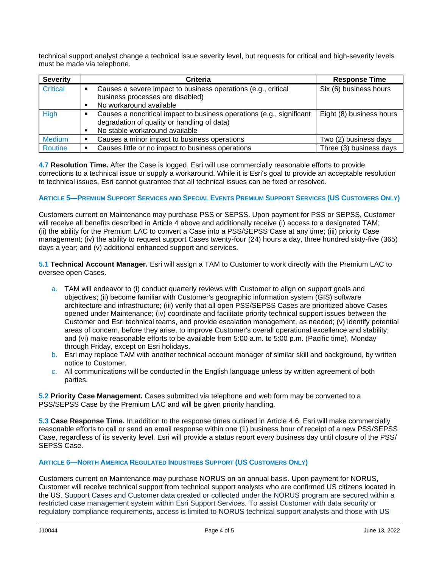technical support analyst change a technical issue severity level, but requests for critical and high-severity levels must be made via telephone.

| <b>Severity</b> | Criteria                                                                                                             | <b>Response Time</b>     |
|-----------------|----------------------------------------------------------------------------------------------------------------------|--------------------------|
| <b>Critical</b> | Causes a severe impact to business operations (e.g., critical<br>business processes are disabled)                    | Six (6) business hours   |
|                 | No workaround available                                                                                              |                          |
| <b>High</b>     | Causes a noncritical impact to business operations (e.g., significant<br>degradation of quality or handling of data) | Eight (8) business hours |
|                 | No stable workaround available                                                                                       |                          |
| <b>Medium</b>   | Causes a minor impact to business operations                                                                         | Two (2) business days    |
| Routine         | Causes little or no impact to business operations                                                                    | Three (3) business days  |

**4.7 Resolution Time.** After the Case is logged, Esri will use commercially reasonable efforts to provide corrections to a technical issue or supply a workaround. While it is Esri's goal to provide an acceptable resolution to technical issues, Esri cannot guarantee that all technical issues can be fixed or resolved.

# **ARTICLE 5-PREMIUM SUPPORT SERVICES AND SPECIAL EVENTS PREMIUM SUPPORT SERVICES (US CUSTOMERS ONLY)**

Customers current on Maintenance may purchase PSS or SEPSS. Upon payment for PSS or SEPSS, Customer will receive all benefits described in Article 4 above and additionally receive (i) access to a designated TAM; (ii) the ability for the Premium LAC to convert a Case into a PSS/SEPSS Case at any time; (iii) priority Case management; (iv) the ability to request support Cases twenty-four (24) hours a day, three hundred sixty-five (365) days a year; and (v) additional enhanced support and services.

**5.1 Technical Account Manager.** Esri will assign a TAM to Customer to work directly with the Premium LAC to oversee open Cases.

- a. TAM will endeavor to (i) conduct quarterly reviews with Customer to align on support goals and objectives; (ii) become familiar with Customer's geographic information system (GIS) software architecture and infrastructure; (iii) verify that all open PSS/SEPSS Cases are prioritized above Cases opened under Maintenance; (iv) coordinate and facilitate priority technical support issues between the Customer and Esri technical teams, and provide escalation management, as needed; (v) identify potential areas of concern, before they arise, to improve Customer's overall operational excellence and stability; and (vi) make reasonable efforts to be available from 5:00 a.m. to 5:00 p.m. (Pacific time), Monday through Friday, except on Esri holidays.
- b. Esri may replace TAM with another technical account manager of similar skill and background, by written notice to Customer.
- c. All communications will be conducted in the English language unless by written agreement of both parties.

**5.2 Priority Case Management.** Cases submitted via telephone and web form may be converted to a PSS/SEPSS Case by the Premium LAC and will be given priority handling.

**5.3 Case Response Time.** In addition to the response times outlined in Article 4.6, Esri will make commercially reasonable efforts to call or send an email response within one (1) business hour of receipt of a new PSS/SEPSS Case, regardless of its severity level. Esri will provide a status report every business day until closure of the PSS/ SEPSS Case.

## **ARTICLE 6—NORTH AMERICA REGULATED INDUSTRIES SUPPORT (US CUSTOMERS ONLY)**

Customers current on Maintenance may purchase NORUS on an annual basis. Upon payment for NORUS, Customer will receive technical support from technical support analysts who are confirmed US citizens located in the US. Support Cases and Customer data created or collected under the NORUS program are secured within a restricted case management system within Esri Support Services. To assist Customer with data security or regulatory compliance requirements, access is limited to NORUS technical support analysts and those with US